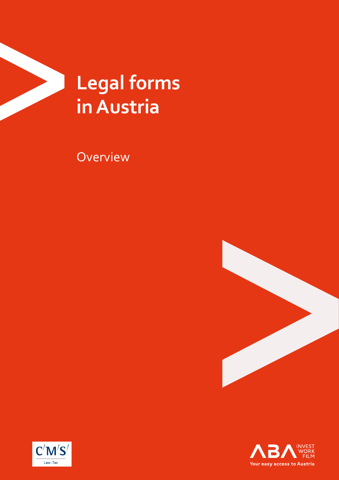

**Overview** 





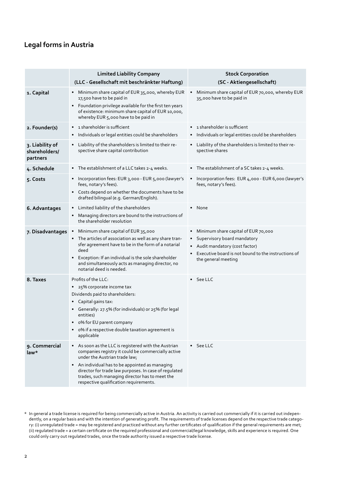## **Legal forms in Austria**

|                                              | <b>Limited Liability Company</b><br>(LLC - Gesellschaft mit beschränkter Haftung)                                                                                                                                                                                                                                                                            | <b>Stock Corporation</b><br>(SC - Aktiengesellschaft)                                                                                                                                      |
|----------------------------------------------|--------------------------------------------------------------------------------------------------------------------------------------------------------------------------------------------------------------------------------------------------------------------------------------------------------------------------------------------------------------|--------------------------------------------------------------------------------------------------------------------------------------------------------------------------------------------|
| 1. Capital                                   | Minimum share capital of EUR 35,000, whereby EUR<br>$\bullet$<br>17,500 have to be paid in<br>• Foundation privilege available for the first ten years<br>of existence: minimum share capital of EUR 10,000,<br>whereby EUR 5,000 have to be paid in                                                                                                         | Minimum share capital of EUR 70,000, whereby EUR<br>$\bullet$<br>35,000 have to be paid in                                                                                                 |
| 2. Founder(s)                                | 1 shareholder is sufficient<br>Individuals or legal entities could be shareholders                                                                                                                                                                                                                                                                           | • 1 shareholder is sufficient<br>• Individuals or legal entities could be shareholders                                                                                                     |
| 3. Liability of<br>shareholders/<br>partners | Liability of the shareholders is limited to their re-<br>$\bullet$<br>spective share capital contribution                                                                                                                                                                                                                                                    | • Liability of the shareholders is limited to their re-<br>spective shares                                                                                                                 |
| 4. Schedule                                  | • The establishment of a LLC takes 2-4 weeks.                                                                                                                                                                                                                                                                                                                | • The establishment of a SC takes 2-4 weeks.                                                                                                                                               |
| 5. Costs                                     | Incorporation fees: EUR 3,000 - EUR 5,000 (lawyer's<br>$\bullet$<br>fees, notary's fees).<br>Costs depend on whether the documents have to be<br>drafted bilingual (e.g. German/English).                                                                                                                                                                    | • Incorporation fees: EUR 4,000 - EUR 6,000 (lawyer's<br>fees, notary's fees).                                                                                                             |
| 6. Advantages                                | Limited liability of the shareholders<br>Managing directors are bound to the instructions of<br>the shareholder resolution                                                                                                                                                                                                                                   | • None                                                                                                                                                                                     |
| 7. Disadvantages                             | Minimum share capital of EUR 35,000<br>The articles of association as well as any share tran-<br>sfer agreement have to be in the form of a notarial<br>deed<br>Exception: If an individual is the sole shareholder<br>$\bullet$<br>and simultaneously acts as managing director, no<br>notarial deed is needed.                                             | Minimum share capital of EUR 70,000<br>٠<br>• Supervisory board mandatory<br>• Audit mandatory (cost factor)<br>Executive board is not bound to the instructions of<br>the general meeting |
| 8. Taxes                                     | Profits of the LLC:<br>• 25% corporate income tax<br>Dividends paid to shareholders:<br>Capital gains tax:<br>• Generally: 27.5% (for individuals) or 25% (for legal<br>entities)<br>o% for EU parent company<br>o% if a respective double taxation agreement is<br>applicable                                                                               | $\bullet$ See LLC                                                                                                                                                                          |
| 9. Commercial<br>law*                        | As soon as the LLC is registered with the Austrian<br>companies registry it could be commercially active<br>under the Austrian trade law;<br>An individual has to be appointed as managing<br>$\bullet$<br>director for trade law purposes. In case of regulated<br>trades, such managing director has to meet the<br>respective qualification requirements. | $\bullet$ See LLC                                                                                                                                                                          |

\* In general a trade license is required for being commercially active in Austria. An activity is carried out commercially if it is carried out independently, on a regular basis and with the intention of generating profit. The requirements of trade licenses depend on the respective trade category: (i) unregulated trade = may be registered and practiced without any further certificates of qualification if the general requirements are met; (ii) regulated trade = a certain certificate on the required professional and commercial/legal knowledge, skills and experience is required. One could only carry out regulated trades, once the trade authority issued a respective trade license.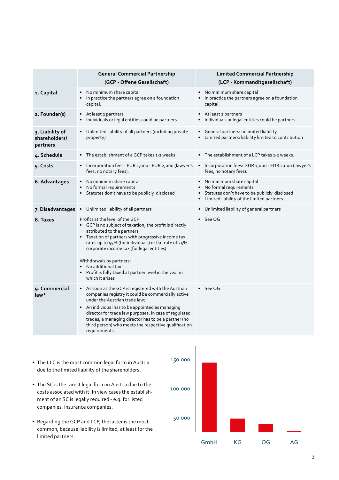|                                              | <b>General Commercial Partnership</b><br>(GCP - Offene Gesellschaft)                                                                                                                                                                                                                                                                                                                                                 | <b>Limited Commercial Partnership</b><br>(LCP - Kommanditgesellschaft)                                                                            |
|----------------------------------------------|----------------------------------------------------------------------------------------------------------------------------------------------------------------------------------------------------------------------------------------------------------------------------------------------------------------------------------------------------------------------------------------------------------------------|---------------------------------------------------------------------------------------------------------------------------------------------------|
| 1. Capital                                   | No minimum share capital<br>$\bullet$<br>In practice the partners agree on a foundation<br>capital.                                                                                                                                                                                                                                                                                                                  | • No minimum share capital<br>• In practice the partners agree on a foundation<br>capital.                                                        |
| 2. Founder(s)                                | • At least 2 partners<br>Individuals or legal entities could be partners                                                                                                                                                                                                                                                                                                                                             | • At least 2 partners<br>• Individuals or legal entities could be partners                                                                        |
| 3. Liability of<br>shareholders/<br>partners | • Unlimited liability of all partners (including private<br>property)                                                                                                                                                                                                                                                                                                                                                | • General partners: unlimited liability<br>Limited partners: liability limited to contribution                                                    |
| 4. Schedule                                  | • The establishment of a GCP takes 1-2 weeks.                                                                                                                                                                                                                                                                                                                                                                        | • The establishment of a LCP takes 1-2 weeks.                                                                                                     |
| 5. Costs                                     | • Incorporation fees: EUR 1,000 - EUR 2,000 (lawyer's<br>fees, no notary fees).                                                                                                                                                                                                                                                                                                                                      | Incorporation fees: EUR 1,000 - EUR 2,000 (lawyer's<br>fees, no notary fees).                                                                     |
| 6. Advantages                                | • No minimum share capital<br>No formal requirements<br>Statutes don't have to be publicly disclosed                                                                                                                                                                                                                                                                                                                 | • No minimum share capital<br>No formal requirements<br>Statutes don't have to be publicly disclosed<br>Limited liability of the limited partners |
| 7. Disadvantages                             | • Unlimited liability of all partners                                                                                                                                                                                                                                                                                                                                                                                | Unlimited liability of general partners                                                                                                           |
| 8. Taxes                                     | Profits at the level of the GCP:<br>• GCP is no subject of taxation, the profit is directly<br>attributed to the partners<br>• Taxation of partners with progressive income tax<br>rates up to 55% (for individuals) or flat rate of 25%<br>corporate income tax (for legal entities)<br>Withdrawals by partners:<br>No additional tax<br>• Profit is fully taxed at partner level in the year in<br>which it arises | $\bullet$ See OG                                                                                                                                  |
| 9. Commercial<br>law*                        | • As soon as the GCP is registered with the Austrian<br>companies registry it could be commercially active<br>under the Austrian trade law;<br>• An individual has to be appointed as managing<br>director for trade law purposes. In case of regulated<br>trades, a managing director has to be a partner (no<br>third person) who meets the respective qualification<br>requirements.                              | $\bullet$ See OG                                                                                                                                  |
|                                              |                                                                                                                                                                                                                                                                                                                                                                                                                      |                                                                                                                                                   |

- The LLC is the most common legal form in Austria due to the limited liability of the shareholders.
- The SC is the rarest legal form in Austria due to the costs associated with it. In view cases the establishment of an SC is legally required - e.g. for listed companies, insurance companies.
- Regarding the GCP and LCP, the latter is the most common, because liability is limited, at least for the limited partners.